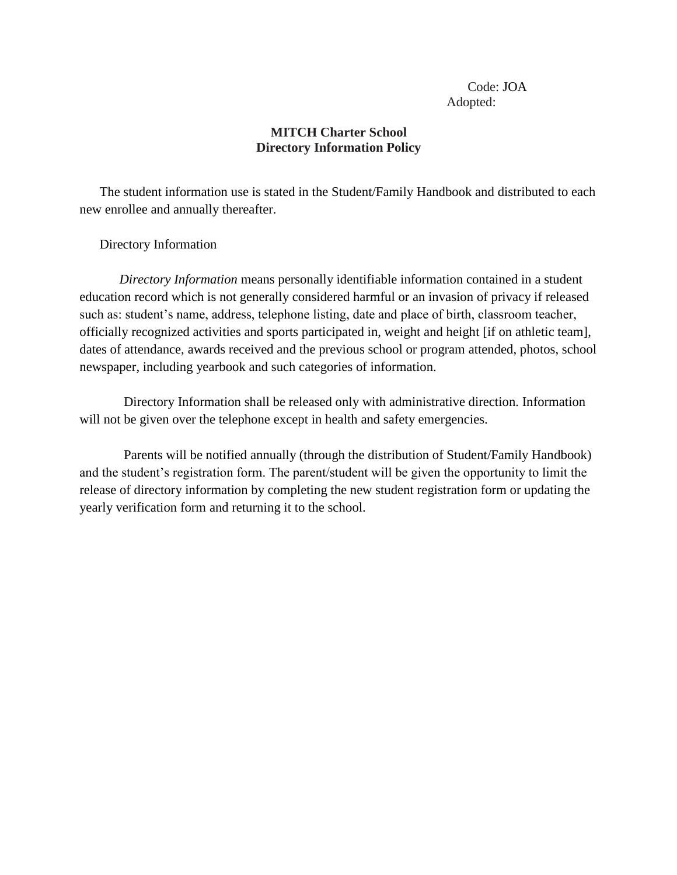## Code: JOA Adopted:

## **MITCH Charter School Directory Information Policy**

The student information use is stated in the Student/Family Handbook and distributed to each new enrollee and annually thereafter.

Directory Information

*Directory Information* means personally identifiable information contained in a student education record which is not generally considered harmful or an invasion of privacy if released such as: student's name, address, telephone listing, date and place of birth, classroom teacher, officially recognized activities and sports participated in, weight and height [if on athletic team], dates of attendance, awards received and the previous school or program attended, photos, school newspaper, including yearbook and such categories of information.

Directory Information shall be released only with administrative direction. Information will not be given over the telephone except in health and safety emergencies.

Parents will be notified annually (through the distribution of Student/Family Handbook) and the student's registration form. The parent/student will be given the opportunity to limit the release of directory information by completing the new student registration form or updating the yearly verification form and returning it to the school.